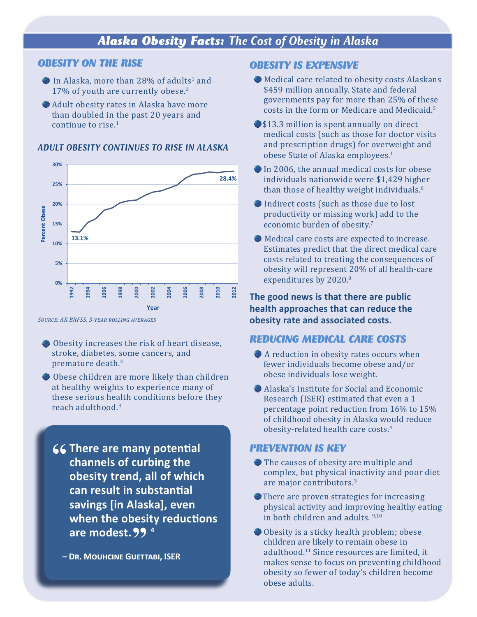# *Alaska Obesity Facts: The Cost of Obesity in Alaska*

#### *OBESITY ON THE RISE*

- In Alaska, more than 28% of adults<sup>1</sup> and 17% of youth are currently obese.<sup>2</sup>
- Adult obesity rates in Alaska have more than doubled in the past 20 years and continue to rise.<sup>1</sup>

#### *ADULT OBESITY CONTINUES TO RISE IN ALASKA*



*Source: AK BRFSS, 3-year rolling averages*

- Obesity increases the risk of heart disease, stroke, diabetes, some cancers, and premature death.3
- Obese children are more likely than children at healthy weights to experience many of these serious health conditions before they reach adulthood.3
	- **There are many potential channels of curbing the channels of curbing the obesity trend, all of which can result in substantial savings [in Alaska], even when the obesity reductions are modest.<sup>4</sup> "**

**– Dr. Mouhcine Guettabi, ISER** 

#### *OBESITY IS EXPENSIVE*

- Medical care related to obesity costs Alaskans \$459 million annually. State and federal governments pay for more than 25% of these costs in the form or Medicare and Medicaid.5
- **\$13.3 million is spent annually on direct** medical costs (such as those for doctor visits and prescription drugs) for overweight and obese State of Alaska employees.1
- In 2006, the annual medical costs for obese individuals nationwide were \$1,429 higher than those of healthy weight individuals.<sup>6</sup>
- Indirect costs (such as those due to lost productivity or missing work) add to the economic burden of obesity.<sup>7</sup>
- Medical care costs are expected to increase. Estimates predict that the direct medical care costs related to treating the consequences of obesity will represent 20% of all health-care expenditures by 2020.<sup>8</sup>

**The good news is that there are public health approaches that can reduce the obesity rate and associated costs.**

#### *REDUCING MEDICAL CARE COSTS*

- A reduction in obesity rates occurs when fewer individuals become obese and/or obese individuals lose weight.
- Alaska's Institute for Social and Economic Research (ISER) estimated that even a 1 percentage point reduction from 16% to 15% of childhood obesity in Alaska would reduce obesity-related health care costs.<sup>4</sup>

#### *PREVENTION IS KEY*

- The causes of obesity are multiple and complex, but physical inactivity and poor diet are major contributors.3
- There are proven strategies for increasing physical activity and improving healthy eating in both children and adults. 9,10
- Obesity is a sticky health problem; obese children are likely to remain obese in adulthood.11 Since resources are limited, it makes sense to focus on preventing childhood obesity so fewer of today's children become obese adults.